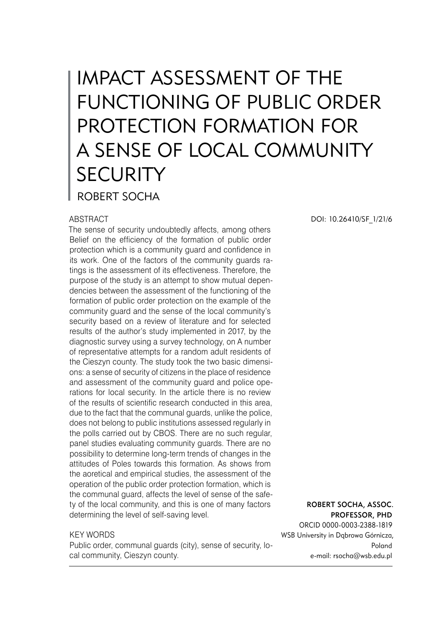# IMPACT ASSESSMENT OF THE FUNCTIONING OF PUBLIC ORDER PROTECTION FORMATION FOR A SENSE OF LOCAL COMMUNITY **SECURITY** ROBERT SOCHA

#### ABSTRACT

The sense of security undoubtedly affects, among others Belief on the efficiency of the formation of public order protection which is a community guard and confidence in its work. One of the factors of the community guards ratings is the assessment of its effectiveness. Therefore, the purpose of the study is an attempt to show mutual dependencies between the assessment of the functioning of the formation of public order protection on the example of the community guard and the sense of the local community's security based on a review of literature and for selected results of the author's study implemented in 2017, by the diagnostic survey using a survey technology, on A number of representative attempts for a random adult residents of the Cieszyn county. The study took the two basic dimensions: a sense of security of citizens in the place of residence and assessment of the community guard and police operations for local security. In the article there is no review of the results of scientific research conducted in this area, due to the fact that the communal guards, unlike the police, does not belong to public institutions assessed regularly in the polls carried out by CBOS. There are no such regular, panel studies evaluating community guards. There are no possibility to determine long-term trends of changes in the attitudes of Poles towards this formation. As shows from the aoretical and empirical studies, the assessment of the operation of the public order protection formation, which is the communal guard, affects the level of sense of the safety of the local community, and this is one of many factors determining the level of self-saving level.

#### KEY WORDS

Public order, communal guards (city), sense of security, local community, Cieszyn county.

DOI: 10.26410/SF\_1/21/6

Robert Socha, Assoc. Professor, PhD

ORCID 0000-0003-2388-1819 WSB University in Dąbrowa Górnicza, Poland e-mail: rsocha@wsb.edu.pl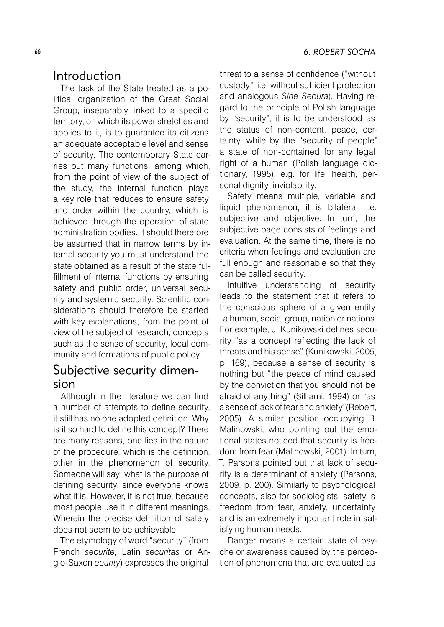#### 66 *6. ROBERT SOCHA*

#### Introduction

The task of the State treated as a political organization of the Great Social Group, inseparably linked to a specific territory, on which its power stretches and applies to it, is to guarantee its citizens an adequate acceptable level and sense of security. The contemporary State carries out many functions, among which, from the point of view of the subject of the study, the internal function plays a key role that reduces to ensure safety and order within the country, which is achieved through the operation of state administration bodies. It should therefore be assumed that in narrow terms by internal security you must understand the state obtained as a result of the state fulfillment of internal functions by ensuring safety and public order, universal security and systemic security. Scientific considerations should therefore be started with key explanations, from the point of view of the subject of research, concepts such as the sense of security, local community and formations of public policy.

## Subjective security dimension

Although in the literature we can find a number of attempts to define security, it still has no one adopted definition. Why is it so hard to define this concept? There are many reasons, one lies in the nature of the procedure, which is the definition, other in the phenomenon of security. Someone will say: what is the purpose of defining security, since everyone knows what it is. However, it is not true, because most people use it in different meanings. Wherein the precise definition of safety does not seem to be achievable.

The etymology of word "security" (from French *securite*, Latin *securitas* or Anglo-Saxon *ecurity*) expresses the original

threat to a sense of confidence ("without custody", i.e. without sufficient protection and analogous *Sine Secura*). Having regard to the principle of Polish language by "security", it is to be understood as the status of non-content, peace, certainty, while by the "security of people" a state of non-contained for any legal right of a human (Polish language dictionary, 1995), e.g. for life, health, personal dignity, inviolability.

Safety means multiple, variable and liquid phenomenon, it is bilateral, i.e. subjective and objective. In turn, the subjective page consists of feelings and evaluation. At the same time, there is no criteria when feelings and evaluation are full enough and reasonable so that they can be called security.

Intuitive understanding of security leads to the statement that it refers to the conscious sphere of a given entity – a human, social group, nation or nations. For example, J. Kunikowski defines security "as a concept reflecting the lack of threats and his sense" (Kunikowski, 2005, p. 169), because a sense of security is nothing but "the peace of mind caused by the conviction that you should not be afraid of anything" (Silllami, 1994) or "as a sense of lack of fear and anxiety"(Rebert, 2005). A similar position occupying B. Malinowski, who pointing out the emotional states noticed that security is freedom from fear (Malinowski, 2001). In turn, T. Parsons pointed out that lack of security is a determinant of anxiety (Parsons, 2009, p. 200). Similarly to psychological concepts, also for sociologists, safety is freedom from fear, anxiety, uncertainty and is an extremely important role in satisfying human needs.

Danger means a certain state of psyche or awareness caused by the perception of phenomena that are evaluated as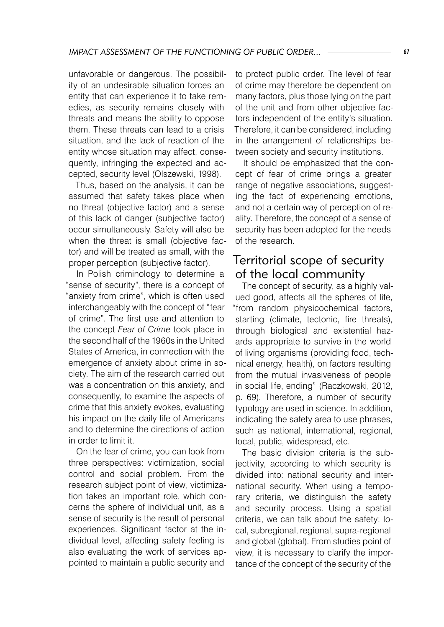unfavorable or dangerous. The possibility of an undesirable situation forces an entity that can experience it to take remedies, as security remains closely with threats and means the ability to oppose them. These threats can lead to a crisis situation, and the lack of reaction of the entity whose situation may affect, consequently, infringing the expected and accepted, security level (Olszewski, 1998).

Thus, based on the analysis, it can be assumed that safety takes place when no threat (objective factor) and a sense of this lack of danger (subjective factor) occur simultaneously. Safety will also be when the threat is small (objective factor) and will be treated as small, with the proper perception (subjective factor).

In Polish criminology to determine a "sense of security", there is a concept of "anxiety from crime", which is often used interchangeably with the concept of "fear of crime". The first use and attention to the concept *Fear of Crime* took place in the second half of the 1960s in the United States of America, in connection with the emergence of anxiety about crime in society. The aim of the research carried out was a concentration on this anxiety, and consequently, to examine the aspects of crime that this anxiety evokes, evaluating his impact on the daily life of Americans and to determine the directions of action in order to limit it.

On the fear of crime, you can look from three perspectives: victimization, social control and social problem. From the research subject point of view, victimization takes an important role, which concerns the sphere of individual unit, as a sense of security is the result of personal experiences. Significant factor at the individual level, affecting safety feeling is also evaluating the work of services appointed to maintain a public security and

to protect public order. The level of fear of crime may therefore be dependent on many factors, plus those lying on the part of the unit and from other objective factors independent of the entity's situation. Therefore, it can be considered, including in the arrangement of relationships between society and security institutions.

It should be emphasized that the concept of fear of crime brings a greater range of negative associations, suggesting the fact of experiencing emotions, and not a certain way of perception of reality. Therefore, the concept of a sense of security has been adopted for the needs of the research.

### Territorial scope of security of the local community

The concept of security, as a highly valued good, affects all the spheres of life, "from random physicochemical factors, starting (climate, tectonic, fire threats), through biological and existential hazards appropriate to survive in the world of living organisms (providing food, technical energy, health), on factors resulting from the mutual invasiveness of people in social life, ending" (Raczkowski, 2012, p. 69). Therefore, a number of security typology are used in science. In addition, indicating the safety area to use phrases, such as national, international, regional, local, public, widespread, etc.

The basic division criteria is the subjectivity, according to which security is divided into: national security and international security. When using a temporary criteria, we distinguish the safety and security process. Using a spatial criteria, we can talk about the safety: local, subregional, regional, supra-regional and global (global). From studies point of view, it is necessary to clarify the importance of the concept of the security of the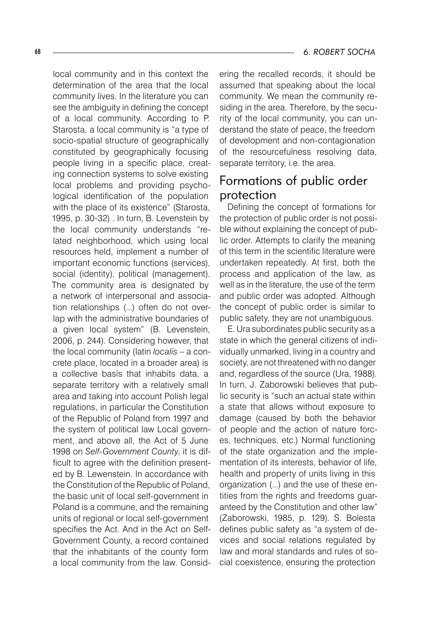local community and in this context the determination of the area that the local community lives. In the literature you can see the ambiguity in defining the concept of a local community. According to P. Starosta, a local community is "a type of socio-spatial structure of geographically constituted by geographically focusing people living in a specific place, creating connection systems to solve existing local problems and providing psychological identification of the population with the place of its existence" (Starosta, 1995, p. 30-32) . In turn, B. Levenstein by the local community understands "related neighborhood, which using local resources held, implement a number of important economic functions (services), social (identity), political (management). The community area is designated by a network of interpersonal and association relationships (...) often do not overlap with the administrative boundaries of a given local system" (B. Levenstein, 2006, p. 244). Considering however, that the local community (latin *localis* – a concrete place, located in a broader area) is a collective basis that inhabits data, a separate territory with a relatively small area and taking into account Polish legal regulations, in particular the Constitution of the Republic of Poland from 1997 and the system of political law Local government, and above all, the Act of 5 June 1998 on *Self-Government County*, it is difficult to agree with the definition presented by B. Lewenstein. In accordance with the Constitution of the Republic of Poland, the basic unit of local self-government in Poland is a commune, and the remaining units of regional or local self-government specifies the Act. And in the Act on Self-Government County, a record contained that the inhabitants of the county form a local community from the law. Considering the recalled records, it should be assumed that speaking about the local community. We mean the community residing in the area. Therefore, by the security of the local community, you can understand the state of peace, the freedom of development and non-contagionation of the resourcefulness resolving data, separate territory, i.e. the area.

# Formations of public order protection

Defining the concept of formations for the protection of public order is not possible without explaining the concept of public order. Attempts to clarify the meaning of this term in the scientific literature were undertaken repeatedly. At first, both the process and application of the law, as well as in the literature, the use of the term and public order was adopted. Although the concept of public order is similar to public safety, they are not unambiguous.

E. Ura subordinates public security as a state in which the general citizens of individually unmarked, living in a country and society, are not threatened with no danger and, regardless of the source (Ura, 1988). In turn, J. Zaborowski believes that public security is "such an actual state within a state that allows without exposure to damage (caused by both the behavior of people and the action of nature forces, techniques, etc.) Normal functioning of the state organization and the implementation of its interests, behavior of life, health and property of units living in this organization (...) and the use of these entities from the rights and freedoms guaranteed by the Constitution and other law" (Zaborowski, 1985, p. 129). S. Bolesta defines public safety as "a system of devices and social relations regulated by law and moral standards and rules of social coexistence, ensuring the protection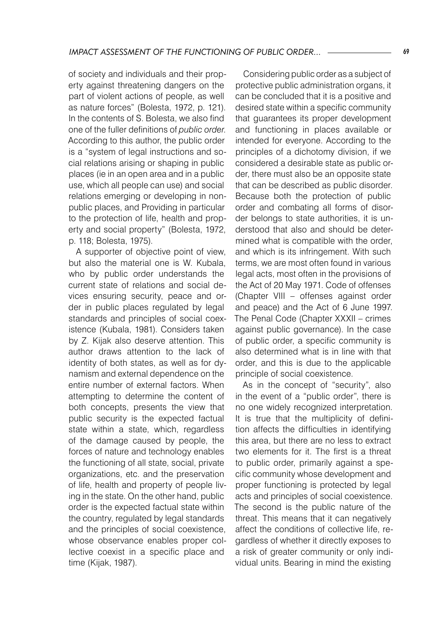of society and individuals and their property against threatening dangers on the part of violent actions of people, as well as nature forces" (Bolesta, 1972, p. 121). In the contents of S. Bolesta, we also find one of the fuller definitions of *public order*. According to this author, the public order is a "system of legal instructions and social relations arising or shaping in public places (ie in an open area and in a public use, which all people can use) and social relations emerging or developing in nonpublic places, and Providing in particular to the protection of life, health and property and social property" (Bolesta, 1972, p. 118; Bolesta, 1975).

A supporter of objective point of view, but also the material one is W. Kubala, who by public order understands the current state of relations and social devices ensuring security, peace and order in public places regulated by legal standards and principles of social coexistence (Kubala, 1981). Considers taken by Z. Kijak also deserve attention. This author draws attention to the lack of identity of both states, as well as for dynamism and external dependence on the entire number of external factors. When attempting to determine the content of both concepts, presents the view that public security is the expected factual state within a state, which, regardless of the damage caused by people, the forces of nature and technology enables the functioning of all state, social, private organizations, etc. and the preservation of life, health and property of people living in the state. On the other hand, public order is the expected factual state within the country, regulated by legal standards and the principles of social coexistence, whose observance enables proper collective coexist in a specific place and time (Kijak, 1987).

Considering public order as a subject of protective public administration organs, it can be concluded that it is a positive and desired state within a specific community that guarantees its proper development and functioning in places available or intended for everyone. According to the principles of a dichotomy division, if we considered a desirable state as public order, there must also be an opposite state that can be described as public disorder. Because both the protection of public order and combating all forms of disorder belongs to state authorities, it is understood that also and should be determined what is compatible with the order, and which is its infringement. With such terms, we are most often found in various legal acts, most often in the provisions of the Act of 20 May 1971. Code of offenses (Chapter VIII – offenses against order and peace) and the Act of 6 June 1997. The Penal Code (Chapter XXXII – crimes against public governance). In the case of public order, a specific community is also determined what is in line with that order, and this is due to the applicable principle of social coexistence.

As in the concept of "security", also in the event of a "public order", there is no one widely recognized interpretation. It is true that the multiplicity of definition affects the difficulties in identifying this area, but there are no less to extract two elements for it. The first is a threat to public order, primarily against a specific community whose development and proper functioning is protected by legal acts and principles of social coexistence. The second is the public nature of the threat. This means that it can negatively affect the conditions of collective life, regardless of whether it directly exposes to a risk of greater community or only individual units. Bearing in mind the existing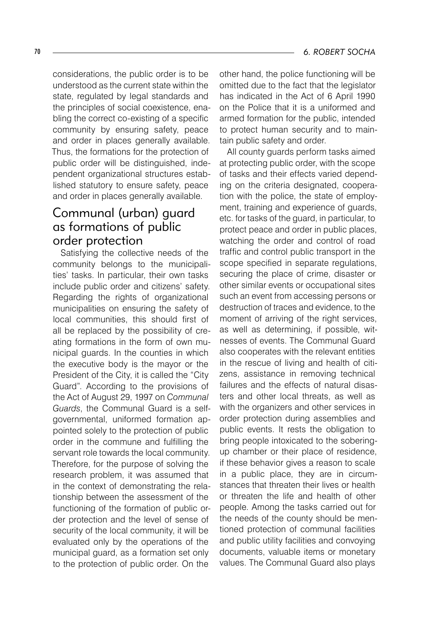considerations, the public order is to be understood as the current state within the state, regulated by legal standards and the principles of social coexistence, enabling the correct co-existing of a specific community by ensuring safety, peace and order in places generally available. Thus, the formations for the protection of public order will be distinguished, independent organizational structures established statutory to ensure safety, peace and order in places generally available.

# Communal (urban) guard as formations of public order protection

Satisfying the collective needs of the community belongs to the municipalities' tasks. In particular, their own tasks include public order and citizens' safety. Regarding the rights of organizational municipalities on ensuring the safety of local communities, this should first of all be replaced by the possibility of creating formations in the form of own municipal guards. In the counties in which the executive body is the mayor or the President of the City, it is called the "City Guard". According to the provisions of the Act of August 29, 1997 on *Communal Guards*, the Communal Guard is a selfgovernmental, uniformed formation appointed solely to the protection of public order in the commune and fulfilling the servant role towards the local community. Therefore, for the purpose of solving the research problem, it was assumed that in the context of demonstrating the relationship between the assessment of the functioning of the formation of public order protection and the level of sense of security of the local community, it will be evaluated only by the operations of the municipal guard, as a formation set only to the protection of public order. On the

other hand, the police functioning will be omitted due to the fact that the legislator has indicated in the Act of 6 April 1990 on the Police that it is a uniformed and armed formation for the public, intended to protect human security and to maintain public safety and order.

All county guards perform tasks aimed at protecting public order, with the scope of tasks and their effects varied depending on the criteria designated, cooperation with the police, the state of employment, training and experience of guards, etc. for tasks of the guard, in particular, to protect peace and order in public places, watching the order and control of road traffic and control public transport in the scope specified in separate regulations, securing the place of crime, disaster or other similar events or occupational sites such an event from accessing persons or destruction of traces and evidence, to the moment of arriving of the right services, as well as determining, if possible, witnesses of events. The Communal Guard also cooperates with the relevant entities in the rescue of living and health of citizens, assistance in removing technical failures and the effects of natural disasters and other local threats, as well as with the organizers and other services in order protection during assemblies and public events. It rests the obligation to bring people intoxicated to the soberingup chamber or their place of residence, if these behavior gives a reason to scale in a public place, they are in circumstances that threaten their lives or health or threaten the life and health of other people. Among the tasks carried out for the needs of the county should be mentioned protection of communal facilities and public utility facilities and convoying documents, valuable items or monetary values. The Communal Guard also plays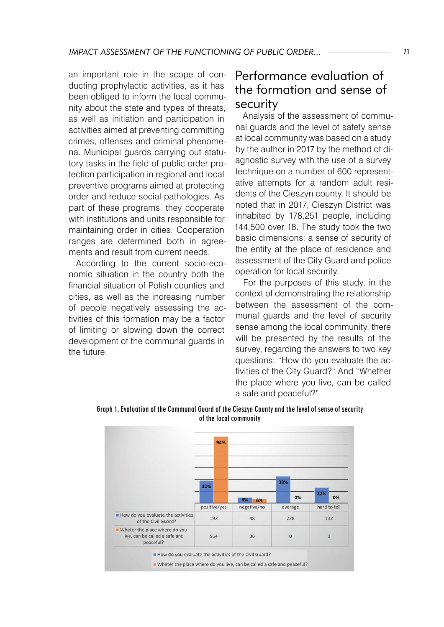an important role in the scope of conducting prophylactic activities, as it has been obliged to inform the local community about the state and types of threats, as well as initiation and participation in activities aimed at preventing committing crimes, offenses and criminal phenomena. Municipal guards carrying out statutory tasks in the field of public order protection participation in regional and local preventive programs aimed at protecting order and reduce social pathologies. As part of these programs, they cooperate with institutions and units responsible for maintaining order in cities. Cooperation ranges are determined both in agreements and result from current needs.

According to the current socio-economic situation in the country both the financial situation of Polish counties and cities, as well as the increasing number of people negatively assessing the activities of this formation may be a factor of limiting or slowing down the correct development of the communal guards in the future.

## Performance evaluation of the formation and sense of security

Analysis of the assessment of communal guards and the level of safety sense at local community was based on a study by the author in 2017 by the method of diagnostic survey with the use of a survey technique on a number of 600 representative attempts for a random adult residents of the Cieszyn county. It should be noted that in 2017, Cieszyn District was inhabited by 178,251 people, including 144,500 over 18. The study took the two basic dimensions: a sense of security of the entity at the place of residence and assessment of the City Guard and police operation for local security.

For the purposes of this study, in the context of demonstrating the relationship between the assessment of the communal guards and the level of security sense among the local community, there will be presented by the results of the survey, regarding the answers to two key questions: "How do you evaluate the activities of the City Guard?" And "Whether the place where you live, can be called a safe and peaceful?"



Graph 1. Evaluation of the Communal Guard of the Cieszyn County and the level of sense of security of the local community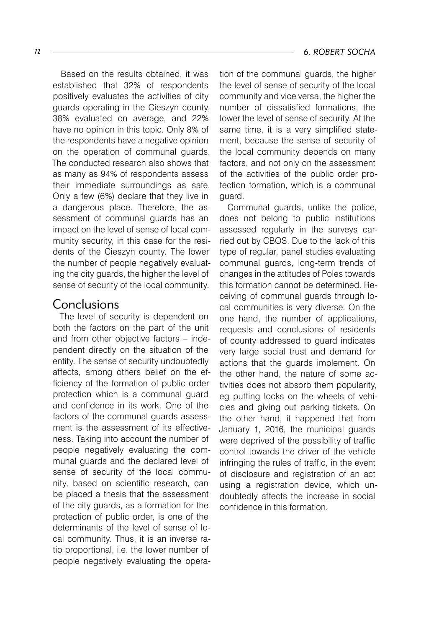Based on the results obtained, it was established that 32% of respondents positively evaluates the activities of city guards operating in the Cieszyn county, 38% evaluated on average, and 22% have no opinion in this topic. Only 8% of the respondents have a negative opinion on the operation of communal guards. The conducted research also shows that as many as 94% of respondents assess their immediate surroundings as safe. Only a few (6%) declare that they live in a dangerous place. Therefore, the assessment of communal guards has an impact on the level of sense of local community security, in this case for the residents of the Cieszyn county. The lower the number of people negatively evaluating the city guards, the higher the level of sense of security of the local community.

## Conclusions

The level of security is dependent on both the factors on the part of the unit and from other objective factors – independent directly on the situation of the entity. The sense of security undoubtedly affects, among others belief on the efficiency of the formation of public order protection which is a communal guard and confidence in its work. One of the factors of the communal guards assessment is the assessment of its effectiveness. Taking into account the number of people negatively evaluating the communal guards and the declared level of sense of security of the local community, based on scientific research, can be placed a thesis that the assessment of the city guards, as a formation for the protection of public order, is one of the determinants of the level of sense of local community. Thus, it is an inverse ratio proportional, i.e. the lower number of people negatively evaluating the opera-

tion of the communal guards, the higher the level of sense of security of the local community and vice versa, the higher the number of dissatisfied formations, the lower the level of sense of security. At the same time, it is a very simplified statement, because the sense of security of the local community depends on many factors, and not only on the assessment of the activities of the public order protection formation, which is a communal guard.

Communal guards, unlike the police, does not belong to public institutions assessed regularly in the surveys carried out by CBOS. Due to the lack of this type of regular, panel studies evaluating communal guards, long-term trends of changes in the attitudes of Poles towards this formation cannot be determined. Receiving of communal guards through local communities is very diverse. On the one hand, the number of applications, requests and conclusions of residents of county addressed to guard indicates very large social trust and demand for actions that the guards implement. On the other hand, the nature of some activities does not absorb them popularity, eg putting locks on the wheels of vehicles and giving out parking tickets. On the other hand, it happened that from January 1, 2016, the municipal guards were deprived of the possibility of traffic control towards the driver of the vehicle infringing the rules of traffic, in the event of disclosure and registration of an act using a registration device, which undoubtedly affects the increase in social confidence in this formation.